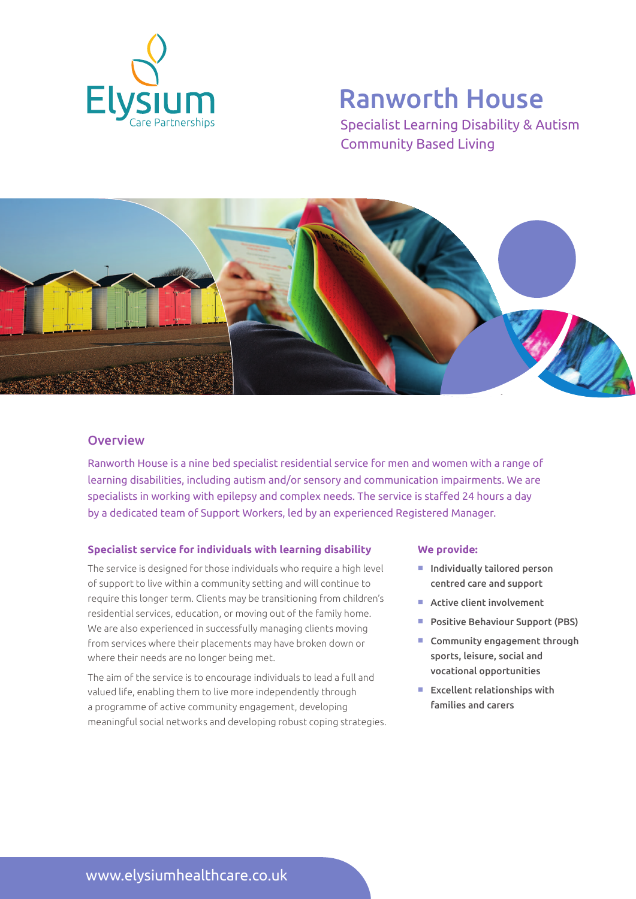

# Ranworth House

Specialist Learning Disability & Autism Community Based Living



### **Overview**

Ranworth House is a nine bed specialist residential service for men and women with a range of learning disabilities, including autism and/or sensory and communication impairments. We are specialists in working with epilepsy and complex needs. The service is staffed 24 hours a day by a dedicated team of Support Workers, led by an experienced Registered Manager.

#### **Specialist service for individuals with learning disability**

The service is designed for those individuals who require a high level of support to live within a community setting and will continue to require this longer term. Clients may be transitioning from children's residential services, education, or moving out of the family home. We are also experienced in successfully managing clients moving from services where their placements may have broken down or where their needs are no longer being met.

The aim of the service is to encourage individuals to lead a full and valued life, enabling them to live more independently through a programme of active community engagement, developing meaningful social networks and developing robust coping strategies.

#### **We provide:**

- $\blacksquare$  Individually tailored person centred care and support
- $\blacksquare$  Active client involvement
- **Positive Behaviour Support (PBS)**
- $\blacksquare$  Community engagement through sports, leisure, social and vocational opportunities
- $E$  Excellent relationships with families and carers